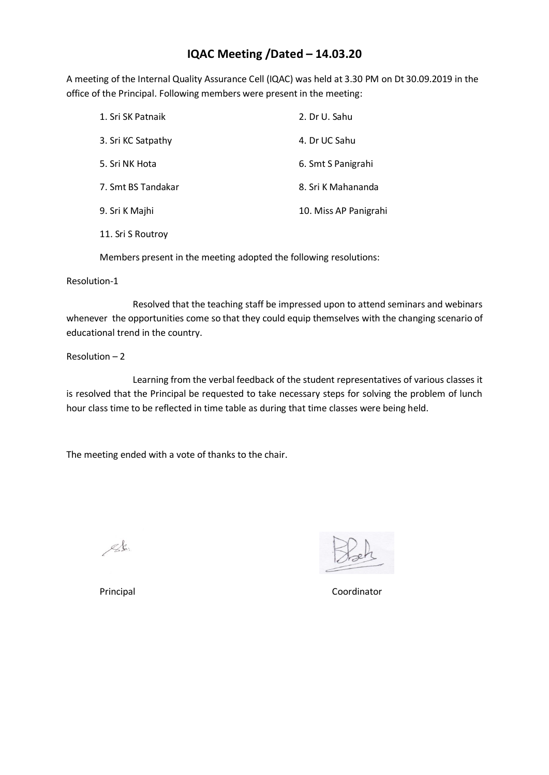# **IQAC Meeting /Dated – 14.03.20**

A meeting of the Internal Quality Assurance Cell (IQAC) was held at 3.30 PM on Dt 30.09.2019 in the office of the Principal. Following members were present in the meeting:

| 1. Sri SK Patnaik  | 2. Dr U. Sahu         |
|--------------------|-----------------------|
| 3. Sri KC Satpathy | 4. Dr UC Sahu         |
| 5. Sri NK Hota     | 6. Smt S Panigrahi    |
| 7. Smt BS Tandakar | 8. Sri K Mahananda    |
| 9. Sri K Majhi     | 10. Miss AP Panigrahi |
| 11. Sri S Routroy  |                       |

Members present in the meeting adopted the following resolutions:

### Resolution-1

Resolved that the teaching staff be impressed upon to attend seminars and webinars whenever the opportunities come so that they could equip themselves with the changing scenario of educational trend in the country.

## Resolution – 2

Learning from the verbal feedback of the student representatives of various classes it is resolved that the Principal be requested to take necessary steps for solving the problem of lunch hour class time to be reflected in time table as during that time classes were being held.

The meeting ended with a vote of thanks to the chair.

 $\mathscr{L}$ .

Principal Coordinator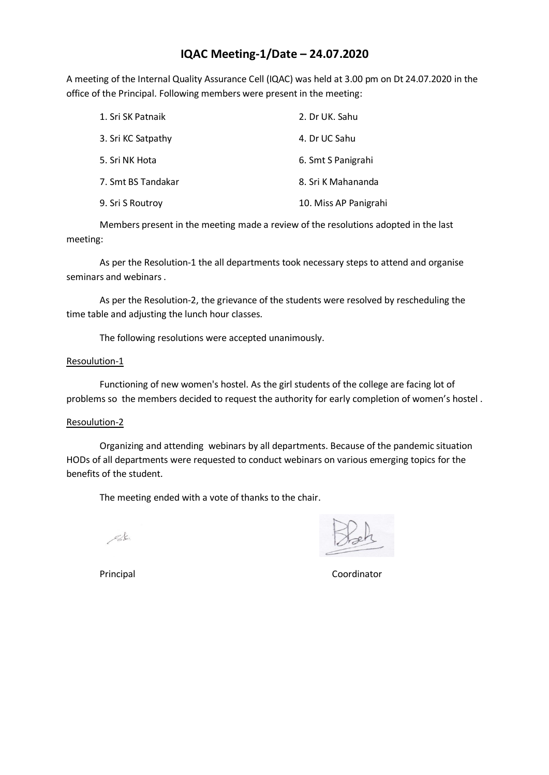# **IQAC Meeting-1/Date – 24.07.2020**

A meeting of the Internal Quality Assurance Cell (IQAC) was held at 3.00 pm on Dt 24.07.2020 in the office of the Principal. Following members were present in the meeting:

| 1. Sri SK Patnaik  | 2. Dr UK. Sahu        |
|--------------------|-----------------------|
| 3. Sri KC Satpathy | 4. Dr UC Sahu         |
| 5. Sri NK Hota     | 6. Smt S Panigrahi    |
| 7. Smt BS Tandakar | 8. Sri K Mahananda    |
| 9. Sri S Routroy   | 10. Miss AP Panigrahi |

Members present in the meeting made a review of the resolutions adopted in the last meeting:

As per the Resolution-1 the all departments took necessary steps to attend and organise seminars and webinars .

As per the Resolution-2, the grievance of the students were resolved by rescheduling the time table and adjusting the lunch hour classes.

The following resolutions were accepted unanimously.

### Resoulution-1

Functioning of new women's hostel. As the girl students of the college are facing lot of problems so the members decided to request the authority for early completion of women's hostel .

### Resoulution-2

Organizing and attending webinars by all departments. Because of the pandemic situation HODs of all departments were requested to conduct webinars on various emerging topics for the benefits of the student.

The meeting ended with a vote of thanks to the chair.

 $\mathscr{L}$ .

Principal **Coordinator**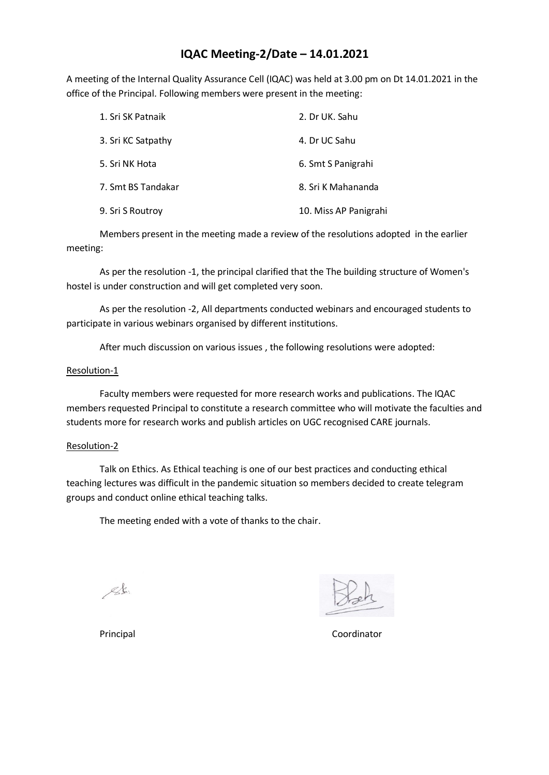## **IQAC Meeting-2/Date – 14.01.2021**

A meeting of the Internal Quality Assurance Cell (IQAC) was held at 3.00 pm on Dt 14.01.2021 in the office of the Principal. Following members were present in the meeting:

| 1. Sri SK Patnaik  | 2. Dr UK. Sahu        |
|--------------------|-----------------------|
| 3. Sri KC Satpathy | 4. Dr UC Sahu         |
| 5. Sri NK Hota     | 6. Smt S Panigrahi    |
| 7. Smt BS Tandakar | 8. Sri K Mahananda    |
| 9. Sri S Routroy   | 10. Miss AP Panigrahi |

Members present in the meeting made a review of the resolutions adopted in the earlier meeting:

As per the resolution -1, the principal clarified that the The building structure of Women's hostel is under construction and will get completed very soon.

As per the resolution -2, All departments conducted webinars and encouraged students to participate in various webinars organised by different institutions.

After much discussion on various issues , the following resolutions were adopted:

## Resolution-1

Faculty members were requested for more research works and publications. The IQAC members requested Principal to constitute a research committee who will motivate the faculties and students more for research works and publish articles on UGC recognised CARE journals.

### Resolution-2

Talk on Ethics. As Ethical teaching is one of our best practices and conducting ethical teaching lectures was difficult in the pandemic situation so members decided to create telegram groups and conduct online ethical teaching talks.

The meeting ended with a vote of thanks to the chair.

 $\mathscr{L}$ .

Principal Coordinator